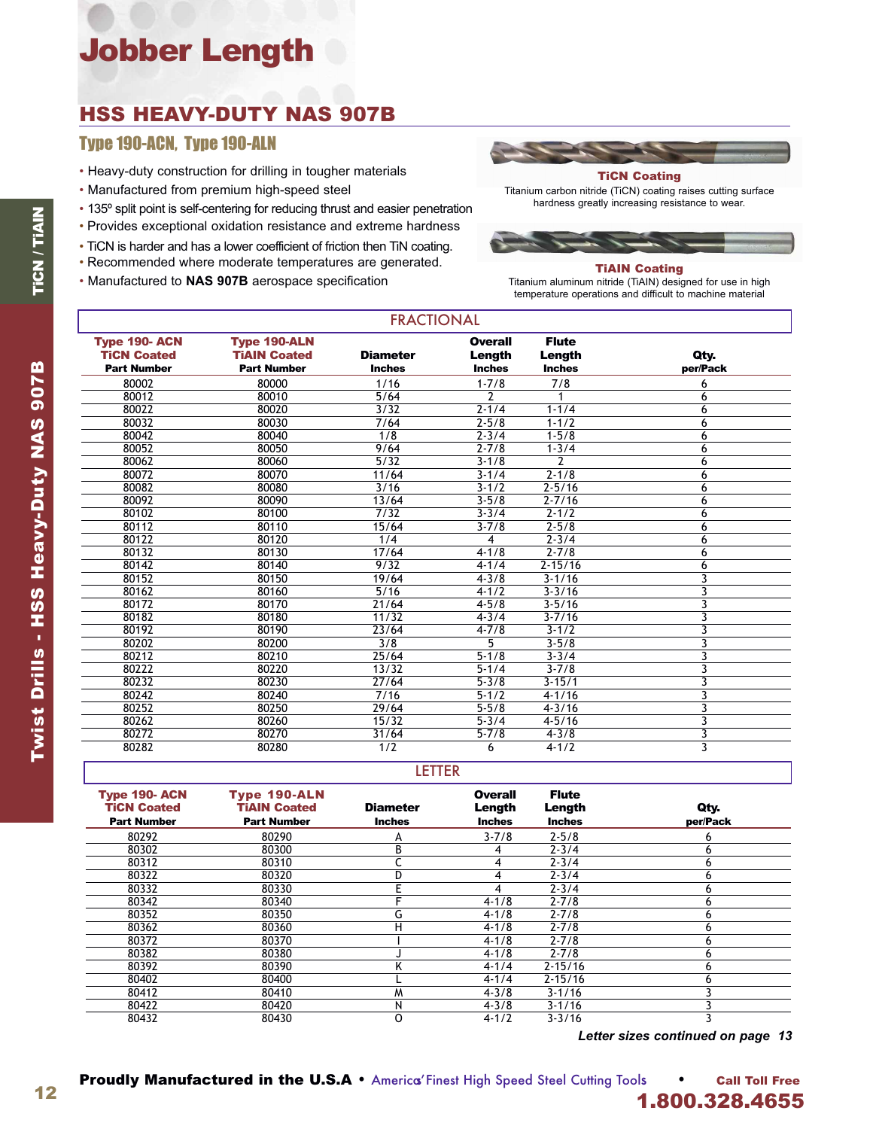# Jobber Length

## HSS HEAVY-DUTY NAS 907B

### Type 190-ACN, Type 190-ALN

- Heavy-duty construction for drilling in tougher materials
- Manufactured from premium high-speed steel
- 135º split point is self-centering for reducing thrust and easier penetration
- Provides exceptional oxidation resistance and extreme hardness
- TiCN is harder and has a lower coefficient of friction then TiN coating.
- Recommended where moderate temperatures are generated.
- Manufactured to **NAS 907B** aerospace specification



#### TiCN Coating

Titanium carbon nitride (TiCN) coating raises cutting surface hardness greatly increasing resistance to wear.



#### TiAIN Coating

Titanium aluminum nitride (TiAIN) designed for use in high temperature operations and difficult to machine material

| <b>Type 190-ACN</b><br><b>TiCN Coated</b> | <b>Type 190-ALN</b><br><b>TiAIN Coated</b> | <b>Diameter</b> | Overall<br>Length | <b>Flute</b><br>Length | Qty.                    |
|-------------------------------------------|--------------------------------------------|-----------------|-------------------|------------------------|-------------------------|
| <b>Part Number</b>                        | <b>Part Number</b>                         | <b>Inches</b>   | <b>Inches</b>     | <b>Inches</b>          | per/Pack                |
| 80002                                     | 80000                                      | 1/16            | $1 - 7/8$         | 7/8                    | 6                       |
| 80012                                     | 80010                                      | 5/64            | 2                 |                        | 6                       |
| 80022                                     | 80020                                      | 3/32            | $2 - 1/4$         | $1 - 1/4$              | 6                       |
| 80032                                     | 80030                                      | 7/64            | $2 - 5/8$         | $1 - 1/2$              | 6                       |
| 80042                                     | 80040                                      | 1/8             | $2 - 3/4$         | $1 - 5/8$              | 6                       |
| 80052                                     | 80050                                      | 9/64            | $2 - 7/8$         | $1 - 3/4$              | 6                       |
| 80062                                     | 80060                                      | 5/32            | $3 - 1/8$         | 2                      | 6                       |
| 80072                                     | 80070                                      | 11/64           | $3 - 1/4$         | $2 - 1/8$              | 6                       |
| 80082                                     | 80080                                      | 3/16            | $3 - 1/2$         | $2 - 5/16$             | 6                       |
| 80092                                     | 80090                                      | 13/64           | $3 - 5/8$         | $2 - 7/16$             | 6                       |
| 80102                                     | 80100                                      | 7/32            | $3 - 3/4$         | $2 - 1/2$              | 6                       |
| 80112                                     | 80110                                      | 15/64           | $3 - 7/8$         | $2 - 5/8$              | 6                       |
| 80122                                     | 80120                                      | 1/4             | 4                 | $2 - 3/4$              | 6                       |
| 80132                                     | 80130                                      | 17/64           | $4 - 1/8$         | $2 - 7/8$              | 6                       |
| 80142                                     | 80140                                      | 9/32            | $4 - 1/4$         | $2 - 15/16$            | 6                       |
| 80152                                     | 80150                                      | 19/64           | $4 - 3/8$         | $3 - 1/16$             | 3                       |
| 80162                                     | 80160                                      | 5/16            | $4 - 1/2$         | $3 - 3/16$             | 3                       |
| 80172                                     | 80170                                      | 21/64           | $4 - 5/8$         | $3 - 5/16$             | 3                       |
| 80182                                     | 80180                                      | 11/32           | $4 - 3/4$         | $3 - 7/16$             | 3                       |
| 80192                                     | 80190                                      | 23/64           | $4 - 7/8$         | $3 - 1/2$              | 3                       |
| 80202                                     | 80200                                      | 3/8             | 5                 | $3 - 5/8$              | 3                       |
| 80212                                     | 80210                                      | 25/64           | $5 - 1/8$         | $3 - 3/4$              | 3                       |
| 80222                                     | 80220                                      | 13/32           | $5 - 1/4$         | $3 - 7/8$              | 3                       |
| 80232                                     | 80230                                      | 27/64           | $5 - 3/8$         | $3 - 15/1$             | 3                       |
| 80242                                     | 80240                                      | 7/16            | $5 - 1/2$         | $4 - 1/16$             | 3                       |
| 80252                                     | 80250                                      | 29/64           | $5 - 5/8$         | $4 - 3/16$             | 3                       |
| 80262                                     | 80260                                      | 15/32           | $5 - 3/4$         | $4 - 5/16$             | 3                       |
| 80272                                     | 80270                                      | 31/64           | $5 - 7/8$         | $4 - 3/8$              | 3                       |
| 80282                                     | 80280                                      | 1/2             | 6                 | $4 - 1/2$              | $\overline{\mathbf{3}}$ |

**FRACTIONAL** 

#### LETTER

| <b>Type 190-ACN</b><br><b>TiCN Coated</b><br><b>Part Number</b> | <b>Type 190-ALN</b><br><b>TIAIN Coated</b><br><b>Part Number</b> | <b>Diameter</b><br><b>Inches</b> | <b>Overall</b><br>Length<br><b>Inches</b> | <b>Flute</b><br>Length<br><b>Inches</b> | Qty.<br>per/Pack |
|-----------------------------------------------------------------|------------------------------------------------------------------|----------------------------------|-------------------------------------------|-----------------------------------------|------------------|
| 80292                                                           | 80290                                                            | А                                | $3 - 7/8$                                 | $2 - 5/8$                               | 6                |
| 80302                                                           | 80300                                                            | В                                |                                           | $2 - 3/4$                               | 6                |
| 80312                                                           | 80310                                                            |                                  | 4                                         | $2 - 3/4$                               | 6                |
| 80322                                                           | 80320                                                            |                                  |                                           | $2 - 3/4$                               | 6                |
| 80332                                                           | 80330                                                            |                                  | 4                                         | $2 - 3/4$                               | 6                |
| 80342                                                           | 80340                                                            |                                  | $4 - 1/8$                                 | $2 - 7/8$                               | 6                |
| 80352                                                           | 80350                                                            | G                                | $4 - 1/8$                                 | $2 - 7/8$                               | 6                |
| 80362                                                           | 80360                                                            | н                                | $4 - 1/8$                                 | $2 - 7/8$                               | 6                |
| 80372                                                           | 80370                                                            |                                  | $4 - 1/8$                                 | $2 - 7/8$                               | 6                |
| 80382                                                           | 80380                                                            |                                  | $4 - 1/8$                                 | $2 - 7/8$                               | 6                |
| 80392                                                           | 80390                                                            |                                  | $4 - 1/4$                                 | $2 - 15/16$                             | 6                |
| 80402                                                           | 80400                                                            |                                  | $4 - 1/4$                                 | $2 - 15/16$                             | h                |
| 80412                                                           | 80410                                                            | м                                | $4 - 3/8$                                 | $3 - 1/16$                              |                  |
| 80422                                                           | 80420                                                            | N                                | $4 - 3/8$                                 | $3 - 1/16$                              |                  |
| 80432                                                           | 80430                                                            | O                                | $4 - 1/2$                                 | $3 - 3/16$                              |                  |

*Letter sizes continued on page 13*

12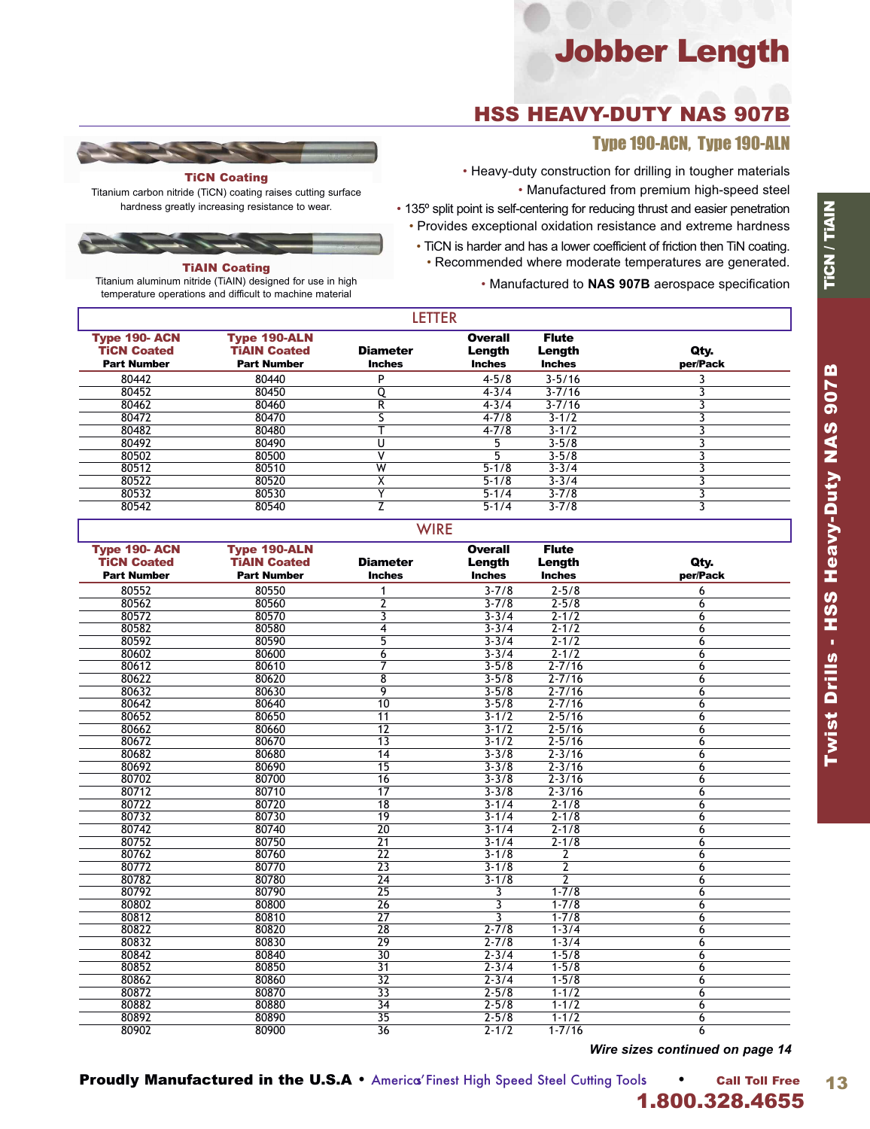# Jobber Length

## HSS HEAVY-DUTY NAS 907B

### Type 190-ACN, Type 190-ALN

• Heavy-duty construction for drilling in tougher materials • Manufactured from premium high-speed steel

• 135º split point is self-centering for reducing thrust and easier penetration • Provides exceptional oxidation resistance and extreme hardness

• TiCN is harder and has a lower coefficient of friction then TiN coating. • Recommended where moderate temperatures are generated.

• Manufactured to **NAS 907B** aerospace specification

| <b>TiCN Coating</b> |  |
|---------------------|--|

Titanium carbon nitride (TiCN) coating raises cutting surface hardness greatly increasing resistance to wear.



### TiAIN Coating

Titanium aluminum nitride (TiAIN) designed for use in high temperature operations and difficult to machine material

|                                                                  |                                                                  | LETIEK                           |                                           |                                         |                  |  |
|------------------------------------------------------------------|------------------------------------------------------------------|----------------------------------|-------------------------------------------|-----------------------------------------|------------------|--|
| <b>Type 190- ACN</b><br><b>TiCN Coated</b><br><b>Part Number</b> | <b>Type 190-ALN</b><br><b>TIAIN Coated</b><br><b>Part Number</b> | <b>Diameter</b><br><b>Inches</b> | <b>Overall</b><br>Length<br><b>Inches</b> | <b>Flute</b><br>Length<br><b>Inches</b> | Qty.<br>per/Pack |  |
| 80442                                                            | 80440                                                            | D                                | $4 - 5/8$                                 | $3 - 5/16$                              |                  |  |
| 80452                                                            | 80450                                                            |                                  | $4 - 3/4$                                 | $3 - 7/16$                              |                  |  |
| 80462                                                            | 80460                                                            | R                                | $4 - 3/4$                                 | $3 - 7/16$                              |                  |  |
| 80472                                                            | 80470                                                            |                                  | $4 - 7/8$                                 | $3 - 1/2$                               |                  |  |
| 80482                                                            | 80480                                                            |                                  | $4 - 7/8$                                 | $3 - 1/2$                               |                  |  |
| 80492                                                            | 80490                                                            |                                  |                                           | $3 - 5/8$                               |                  |  |
| 80502                                                            | 80500                                                            |                                  |                                           | $3 - 5/8$                               |                  |  |
| 80512                                                            | 80510                                                            | W                                | $5 - 1/8$                                 | $3 - 3/4$                               |                  |  |
| 80522                                                            | 80520                                                            |                                  | $5 - 1/8$                                 | $3 - 3/4$                               |                  |  |
| 80532                                                            | 80530                                                            |                                  | $5 - 1/4$                                 | $3 - 7/8$                               |                  |  |
| 80542                                                            | 80540                                                            |                                  | $5 - 1/4$                                 | $3 - 7/8$                               |                  |  |
|                                                                  |                                                                  |                                  |                                           |                                         |                  |  |

LETTER

| ×<br>× |  |  |
|--------|--|--|
|        |  |  |

| <b>Type 190-ACN</b> | <b>Type 190-ALN</b> |                 | <b>Overall</b> | <b>Flute</b>  |          |
|---------------------|---------------------|-----------------|----------------|---------------|----------|
| <b>TiCN Coated</b>  | <b>TIAIN Coated</b> | <b>Diameter</b> | Length         | Length        | Qty.     |
| <b>Part Number</b>  | <b>Part Number</b>  | <b>Inches</b>   | <b>Inches</b>  | <b>Inches</b> | per/Pack |
| 80552               | 80550               |                 | $3 - 7/8$      | $2 - 5/8$     | 6        |
| 80562               | 80560               | $\overline{2}$  | $3 - 7/8$      | $2 - 5/8$     | 6        |
| 80572               | 80570               | 3               | $3 - 3/4$      | $2 - 1/2$     | 6        |
| 80582               | 80580               | 4               | $3 - 3/4$      | $2 - 1/2$     | 6        |
| 80592               | 80590               | 5               | $3 - 3/4$      | $2 - 1/2$     | 6        |
| 80602               | 80600               | 6               | $3 - 3/4$      | $2 - 1/2$     | 6        |
| 80612               | 80610               | 7               | $3 - 5/8$      | $2 - 7/16$    | 6        |
| 80622               | 80620               | $\overline{8}$  | $3 - 5/8$      | $2 - 7/16$    | 6        |
| 80632               | 80630               | 9               | $3 - 5/8$      | $2 - 7/16$    | 6        |
| 80642               | 80640               | $\overline{10}$ | $3 - 5/8$      | $2 - 7/16$    | 6        |
| 80652               | 80650               | 11              | $3 - 1/2$      | $2 - 5/16$    | 6        |
| 80662               | 80660               | $\overline{12}$ | $3 - 1/2$      | $2 - 5/16$    | 6        |
| 80672               | 80670               | $\overline{13}$ | $3 - 1/2$      | $2 - 5/16$    | 6        |
| 80682               | 80680               | 14              | $3 - 3/8$      | $2 - 3/16$    | 6        |
| 80692               | 80690               | $\overline{15}$ | $3 - 3/8$      | $2 - 3/16$    | 6        |
| 80702               | 80700               | 16              | $3 - 3/8$      | $2 - 3/16$    | 6        |
| 80712               | 80710               | 17              | $3 - 3/8$      | $2 - 3/16$    | 6        |
| 80722               | 80720               | $\overline{18}$ | $3 - 1/4$      | $2 - 1/8$     | 6        |
| 80732               | 80730               | $\overline{19}$ | $3 - 1/4$      | $2 - 1/8$     | 6        |
| 80742               | 80740               | $\overline{20}$ | $3 - 1/4$      | $2 - 1/8$     | 6        |
| 80752               | 80750               | $\overline{21}$ | $3 - 1/4$      | $2 - 1/8$     | 6        |
| 80762               | 80760               | $\overline{22}$ | $3 - 1/8$      | 2             | 6        |
| 80772               | 80770               | $\overline{23}$ | $3 - 1/8$      | 2             | 6        |
| 80782               | 80780               | $\overline{24}$ | $3 - 1/8$      | 2             | 6        |
| 80792               | 80790               | $\overline{25}$ | 3              | $1 - 7/8$     | 6        |
| 80802               | 80800               | $\overline{26}$ | 3              | $1 - 7/8$     | 6        |
| 80812               | 80810               | $\overline{27}$ | 3              | $1 - 7/8$     | 6        |
| 80822               | 80820               | $\overline{28}$ | $2 - 7/8$      | $1 - 3/4$     | 6        |
| 80832               | 80830               | $\overline{29}$ | $2 - 7/8$      | $1 - 3/4$     | 6        |
| 80842               | 80840               | $\overline{30}$ | $2 - 3/4$      | $1 - 5/8$     | 6        |
| 80852               | 80850               | $\overline{31}$ | $2 - 3/4$      | $1 - 5/8$     | 6        |
| 80862               | 80860               | 32              | $2 - 3/4$      | $1 - 5/8$     | 6        |
| 80872               | 80870               | $\overline{33}$ | $2 - 5/8$      | $1 - 1/2$     | 6        |
| 80882               | 80880               | $\overline{34}$ | $2 - 5/8$      | $1 - 1/2$     | 6        |
| 80892               | 80890               | $\overline{35}$ | $2 - 5/8$      | $1 - 1/2$     | 6        |
| 80902               | 80900               | $\overline{36}$ | $2 - 1/2$      | $1 - 7/16$    | 6        |

*Wire sizes continued on page 14*